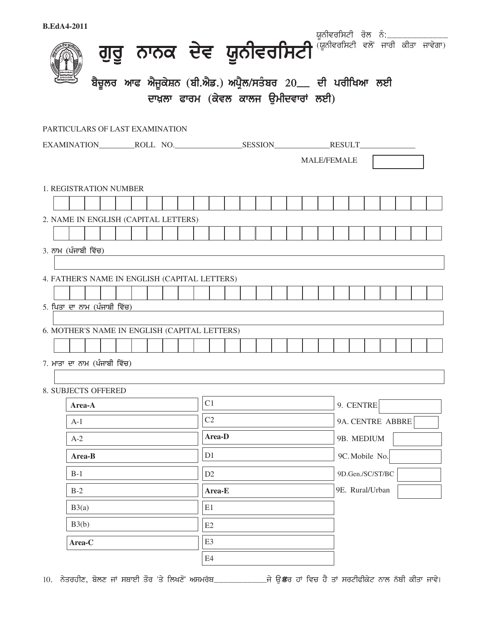| <b>B.EdA4-2011</b>                            |        |                                                            |  |  |  |          |                                      |    |    |  |                  |                  |  |  |           |                    |  |  |                                                                     |  |  |  |
|-----------------------------------------------|--------|------------------------------------------------------------|--|--|--|----------|--------------------------------------|----|----|--|------------------|------------------|--|--|-----------|--------------------|--|--|---------------------------------------------------------------------|--|--|--|
|                                               |        |                                                            |  |  |  |          |                                      |    |    |  |                  |                  |  |  |           |                    |  |  | ਗੁਰੂ ਨਾਨਕ ਦੇਵ ਯੂਨੀਵਰਸਿਟੀ <sup>ਯੂਨੀਵਰਸਿਟੀ ਕਲ</sup> ਜਾਰੀ ਕੀਤਾ ਜਾਵੇਗਾ) |  |  |  |
|                                               |        | ਬੈਚੂਲਰ ਆਫ ਐਜੂਕੇਸ਼ਨ (ਬੀ.ਐਡ.) ਅਪ੍ਰੈਲ/ਸਤੰਬਰ 20__ ਦੀ ਪਰੀਖਿਆ ਲਈ |  |  |  |          |                                      |    |    |  |                  |                  |  |  |           |                    |  |  |                                                                     |  |  |  |
|                                               |        |                                                            |  |  |  |          | ਦਾਖ਼ਲਾ ਫਾਰਮ (ਕੇਵਲ ਕਾਲਜ ਉਮੀਦਵਾਰਾਂ ਲਈ) |    |    |  |                  |                  |  |  |           |                    |  |  |                                                                     |  |  |  |
|                                               |        |                                                            |  |  |  |          |                                      |    |    |  |                  |                  |  |  |           |                    |  |  |                                                                     |  |  |  |
| PARTICULARS OF LAST EXAMINATION               |        |                                                            |  |  |  |          |                                      |    |    |  |                  |                  |  |  |           |                    |  |  |                                                                     |  |  |  |
|                                               |        |                                                            |  |  |  |          |                                      |    |    |  |                  |                  |  |  |           |                    |  |  |                                                                     |  |  |  |
|                                               |        |                                                            |  |  |  |          |                                      |    |    |  |                  |                  |  |  |           | <b>MALE/FEMALE</b> |  |  |                                                                     |  |  |  |
| <b>1. REGISTRATION NUMBER</b>                 |        |                                                            |  |  |  |          |                                      |    |    |  |                  |                  |  |  |           |                    |  |  |                                                                     |  |  |  |
|                                               |        |                                                            |  |  |  |          |                                      |    |    |  |                  |                  |  |  |           |                    |  |  |                                                                     |  |  |  |
| 2. NAME IN ENGLISH (CAPITAL LETTERS)          |        |                                                            |  |  |  |          |                                      |    |    |  |                  |                  |  |  |           |                    |  |  |                                                                     |  |  |  |
|                                               |        |                                                            |  |  |  |          |                                      |    |    |  |                  |                  |  |  |           |                    |  |  |                                                                     |  |  |  |
| 3. ਨਾਮ (ਪੰਜਾਬੀ ਵਿੱਚ)                          |        |                                                            |  |  |  |          |                                      |    |    |  |                  |                  |  |  |           |                    |  |  |                                                                     |  |  |  |
|                                               |        |                                                            |  |  |  |          |                                      |    |    |  |                  |                  |  |  |           |                    |  |  |                                                                     |  |  |  |
| 4. FATHER'S NAME IN ENGLISH (CAPITAL LETTERS) |        |                                                            |  |  |  |          |                                      |    |    |  |                  |                  |  |  |           |                    |  |  |                                                                     |  |  |  |
| 5. ਪਿਤਾ ਦਾ ਨਾਮ (ਪੰਜਾਬੀ ਵਿੱਚ)                  |        |                                                            |  |  |  |          |                                      |    |    |  |                  |                  |  |  |           |                    |  |  |                                                                     |  |  |  |
|                                               |        |                                                            |  |  |  |          |                                      |    |    |  |                  |                  |  |  |           |                    |  |  |                                                                     |  |  |  |
| 6. MOTHER'S NAME IN ENGLISH (CAPITAL LETTERS) |        |                                                            |  |  |  |          |                                      |    |    |  |                  |                  |  |  |           |                    |  |  |                                                                     |  |  |  |
|                                               |        |                                                            |  |  |  |          |                                      |    |    |  |                  |                  |  |  |           |                    |  |  |                                                                     |  |  |  |
| 7. ਮਾਤਾ ਦਾ ਨਾਮ (ਪੰਜਾਬੀ ਵਿੱਚ)                  |        |                                                            |  |  |  |          |                                      |    |    |  |                  |                  |  |  |           |                    |  |  |                                                                     |  |  |  |
| 8. SUBJECTS OFFERED                           |        |                                                            |  |  |  |          |                                      |    |    |  |                  |                  |  |  |           |                    |  |  |                                                                     |  |  |  |
|                                               | Area-A |                                                            |  |  |  |          |                                      |    | C1 |  |                  |                  |  |  | 9. CENTRE |                    |  |  |                                                                     |  |  |  |
|                                               | $A-1$  |                                                            |  |  |  | $\rm C2$ |                                      |    |    |  |                  | 9A. CENTRE ABBRE |  |  |           |                    |  |  |                                                                     |  |  |  |
|                                               | $A-2$  |                                                            |  |  |  | Area-D   |                                      |    |    |  |                  | 9B. MEDIUM       |  |  |           |                    |  |  |                                                                     |  |  |  |
|                                               | Area-B |                                                            |  |  |  | D1       |                                      |    |    |  | 9C. Mobile No.   |                  |  |  |           |                    |  |  |                                                                     |  |  |  |
|                                               | $B-1$  |                                                            |  |  |  | D2       |                                      |    |    |  | 9D.Gen./SC/ST/BC |                  |  |  |           |                    |  |  |                                                                     |  |  |  |
|                                               | $B-2$  |                                                            |  |  |  | Area-E   |                                      |    |    |  | 9E. Rural/Urban  |                  |  |  |           |                    |  |  |                                                                     |  |  |  |
|                                               | B3(a)  |                                                            |  |  |  | E1       |                                      |    |    |  |                  |                  |  |  |           |                    |  |  |                                                                     |  |  |  |
|                                               | B3(b)  |                                                            |  |  |  | E2       |                                      |    |    |  |                  |                  |  |  |           |                    |  |  |                                                                     |  |  |  |
|                                               | Area-C |                                                            |  |  |  |          |                                      | E3 |    |  |                  |                  |  |  |           |                    |  |  |                                                                     |  |  |  |
|                                               |        |                                                            |  |  |  |          |                                      | E4 |    |  |                  |                  |  |  |           |                    |  |  |                                                                     |  |  |  |
|                                               |        |                                                            |  |  |  |          |                                      |    |    |  |                  |                  |  |  |           |                    |  |  |                                                                     |  |  |  |

10. ਨੇਤਰਹੀਣ, ਬੋਲਣ ਜਾਂ ਸਥਾਈ ਤੌਰ 'ਤੇ ਲਿਖਣੋਂ ਅਸਮਰੱਥ\_\_\_\_\_\_\_\_\_\_\_\_\_\_\_ਜੇ ਉਂਲਰ ਹਾਂ ਵਿਚ ਹੈ ਤਾਂ ਸਰਟੀਫੀਕੇਟ ਨਾਲ ਨੱਥੀ ਕੀਤਾ ਜਾਵੇ।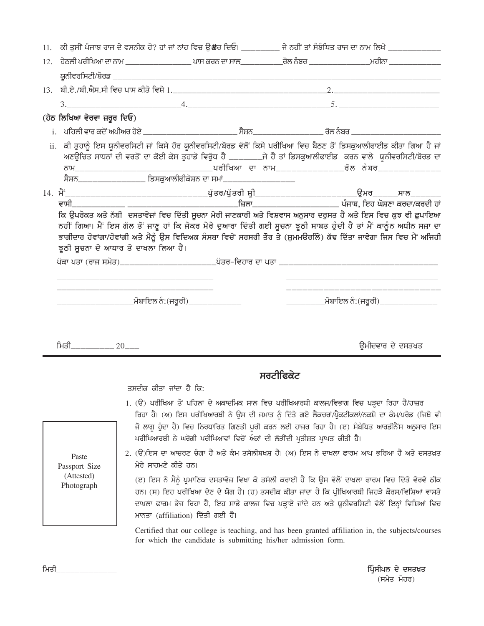|     |                                                    |                                                                                                                                                              | 11. ਕੀ ਤੁਸੀਂ ਪੰਜਾਬ ਰਾਜ ਦੇ ਵਸਨੀਕ ਹੋ? ਹਾਂ ਜਾਂ ਨਾਂਹ ਵਿਚ ਉਂ#ਰ ਦਿਓ। ________ ਜੇ ਨਹੀਂ ਤਾਂ ਸੰਬੰਧਿਤ ਰਾਜ ਦਾ ਨਾਮ ਲਿਖੋ ____________                                                                                                                                                                                                                                                                                                                     |           |                   |
|-----|----------------------------------------------------|--------------------------------------------------------------------------------------------------------------------------------------------------------------|----------------------------------------------------------------------------------------------------------------------------------------------------------------------------------------------------------------------------------------------------------------------------------------------------------------------------------------------------------------------------------------------------------------------------------------------|-----------|-------------------|
| 12. |                                                    |                                                                                                                                                              |                                                                                                                                                                                                                                                                                                                                                                                                                                              |           |                   |
|     |                                                    |                                                                                                                                                              |                                                                                                                                                                                                                                                                                                                                                                                                                                              |           |                   |
|     |                                                    |                                                                                                                                                              |                                                                                                                                                                                                                                                                                                                                                                                                                                              |           |                   |
|     |                                                    |                                                                                                                                                              |                                                                                                                                                                                                                                                                                                                                                                                                                                              |           |                   |
|     | (ਹੇਠ ਲਿਖਿਆ ਵੇਰਵਾ ਜ਼ਰੂਰ ਦਿਓ)                        |                                                                                                                                                              |                                                                                                                                                                                                                                                                                                                                                                                                                                              |           |                   |
|     |                                                    |                                                                                                                                                              |                                                                                                                                                                                                                                                                                                                                                                                                                                              |           |                   |
|     |                                                    |                                                                                                                                                              | ii. ਕੀ ਤੁਹਾਨੂੰ ਇਸ ਯੂਨੀਵਰਸਿਟੀ ਜਾਂ ਕਿਸੇ ਹੋਰ ਯੂਨੀਵਰਸਿਟੀ/ਬੋਰਡ ਵੱਲੋਂ ਕਿਸੇ ਪਰੀਖਿਆ ਵਿਚ ਬੈਠਣ ਤੋਂ ਡਿਸਕੁਆਲੀਫਾਈਡ ਕੀਤਾ ਗਿਆ ਹੈ ਜਾਂ<br>ਅਣਉਚਿਤ ਸਾਧਨਾਂ ਦੀ ਵਰਤੋਂ ਦਾ ਕੋਈ ਕੇਸ ਤੁਹਾਡੇ ਵਿਰੁੱਧ ਹੈ _________ਜੇ ਹੈ ਤਾਂ ਡਿਸਕੁਆਲੀਫਾਈਡ ਕਰਨ ਵਾਲੇ ਯੂਨੀਵਰਸਿਟੀ/ਬੋਰਡ ਦਾ<br>ਸੈਸ਼ਨ_________________ ਡਿਸਕੁਆਲੀਫੀਕੇਸ਼ਨ ਦਾ ਸਮਾਂ___________________                                                                                                                                 |           |                   |
|     |                                                    |                                                                                                                                                              |                                                                                                                                                                                                                                                                                                                                                                                                                                              |           |                   |
|     | ਵਾਸੀ ਤ                                             |                                                                                                                                                              |                                                                                                                                                                                                                                                                                                                                                                                                                                              |           |                   |
|     |                                                    | ਝੁਠੀ ਸੂਚਨਾ ਦੇ ਆਧਾਰ ਤੇ ਦਾਖਲਾ ਲਿਆ ਹੈ।<br><u> 1989 - Johann Barbara, martin amerikan basar dan berasal dan berasal dalam basar dalam basar dalam basar dala</u> | ਭਾਗੀਦਾਰ ਹੋਵਾਂਗਾ/ਹੋਵਾਂਗੀ ਅਤੇ ਮੈਨੂੰ ਉਸ ਵਿਦਿਅਕ ਸੰਸਥਾ ਵਿਚੋਂ ਸਰਸਰੀ ਤੌਰ ਤੇ (ਸ਼ੁਮਮੳਰਲਿੇ) ਕੱਢ ਦਿੱਤਾ ਜਾਵੇਗਾ ਜਿਸ ਵਿਚ ਮੈਂ ਅਜਿਹੀ                                                                                                                                                                                                                                                                                                                         |           |                   |
|     |                                                    |                                                                                                                                                              |                                                                                                                                                                                                                                                                                                                                                                                                                                              |           |                   |
|     | ਮਿਤੀ_____________ 20____                           |                                                                                                                                                              |                                                                                                                                                                                                                                                                                                                                                                                                                                              |           | ਉਮੀਦਵਾਰ ਦੇ ਦਸਤਖ਼ਤ |
|     |                                                    |                                                                                                                                                              |                                                                                                                                                                                                                                                                                                                                                                                                                                              | ਸਰਟੀਫਿਕੇਟ |                   |
|     |                                                    | ਤਸਦੀਕ ਕੀਤਾ ਜਾਂਦਾ ਹੈ ਕਿ:                                                                                                                                      |                                                                                                                                                                                                                                                                                                                                                                                                                                              |           |                   |
|     |                                                    |                                                                                                                                                              | 1. (ੳ) ਪਰੀਖਿਆ ਤੋਂ ਪਹਿਲਾਂ ਦੇ ਅਕਾਦਮਿਕ ਸਾਲ ਵਿਚ ਪਰੀਖਿਆਰਥੀ ਕਾਲਜ/ਵਿਭਾਗ ਵਿਚ ਪੜ੍ਹਦਾ ਰਿਹਾ ਹੈ/ਹਾਜ਼ਰ<br>ਰਿਹਾ ਹੈ। (ਅ) ਇਸ ਪਰੀਖਿਆਰਥੀ ਨੇ ਉਸ ਦੀ ਜਮਾਤ ਨੂੰ ਦਿੱਤੇ ਗਏ ਲੈਕਚਰਾਂ/ਪ੍ਰੈਕਟੀਕਲਾਂ/ਨਕਸ਼ੇ ਦਾ ਕੰਮ/ਪਰੇਡ (ਜਿਥੇ ਵੀ<br>ਜੋ ਲਾਗੁ ਹੁੰਦਾ ਹੈ) ਵਿਚ ਨਿਰਧਾਰਿਤ ਗਿਣਤੀ ਪੁਰੀ ਕਰਨ ਲਈ ਹਾਜ਼ਰ ਰਿਹਾ ਹੈ। (ੲ) ਸੰਬੰਧਿਤ ਆਰਡੀਨੈਂਸ ਅਨੁਸਾਰ ਇਸ<br>ਪਰੀਖਿਆਰਥੀ ਨੇ ਘਰੋਗੀ ਪਰੀਖਿਆਵਾਂ ਵਿਚੋਂ ਅੰਕਾਂ ਦੀ ਲੋੜੀਂਦੀ ਪ੍ਰਤੀਸ਼ਤ ਪ੍ਰਾਪਤ ਕੀਤੀ ਹੈ।                                                           |           |                   |
|     | Paste<br>Passport Size<br>(Attested)<br>Photograph | ਮੇਰੇ ਸਾਹਮਣੇ ਕੀਤੇ ਹਨ।                                                                                                                                         | 2. (ੳ)ਇਸ ਦਾ ਆਚਰਣ ਚੰਗਾ ਹੈ ਅਤੇ ਕੰਮ ਤਸੱਲੀਬਖਸ਼ ਹੈ। (ਅ) ਇਸ ਨੇ ਦਾਖਲਾ ਫਾਰਮ ਆਪ ਭਰਿਆ ਹੈ ਅਤੇ ਦਸਤਖ਼ਤ<br>(ੲ) ਇਸ ਨੇ ਮੈਨੂੰ ਪ੍ਰਮਾਣਿਕ ਦਸਤਾਵੇਜ਼ ਵਿਖਾ ਕੇ ਤਸੱਲੀ ਕਰਾਈ ਹੈ ਕਿ ਉਸ ਵੱਲੋਂ ਦਾਖ਼ਲਾ ਫਾਰਮ ਵਿਚ ਦਿੱਤੇ ਵੇਰਵੇ ਠੀਕ<br>ਹਨ। (ਸ) ਇਹ ਪਰੀਖਿਆ ਦੇਣ ਦੇ ਯੋਗ ਹੈ। (ਹ) ਤਸਦੀਕ ਕੀਤਾ ਜਾਂਦਾ ਹੈ ਕਿ ਪ੍ਰੀਖਿਆਰਥੀ ਜਿਹੜੇ ਕੋਰਸ/ਵਿਸ਼ਿਆਂ ਵਾਸਤੇ<br>ਦਾਖ਼ਲਾ ਫਾਰਮ ਭੇਜ ਰਿਹਾ ਹੈ, ਇਹ ਸਾਡੇ ਕਾਲਜ ਵਿਚ ਪੜ੍ਹਾਏ ਜਾਂਦੇ ਹਨ ਅਤੇ ਯੂਨੀਵਰਸਿਟੀ ਵੱਲੋਂ ਇਨ੍ਹਾਂ ਵਿਸ਼ਿਆਂ ਵਿਚ<br>ਮਾਨਤਾ (affiliation) ਦਿੱਤੀ ਗਈ ਹੈ। |           |                   |
|     |                                                    |                                                                                                                                                              | Certified that our college is teaching, and has been granted affiliation in, the subjects/courses<br>for which the candidate is submitting his/her admission form.                                                                                                                                                                                                                                                                           |           |                   |

ਪ੍ਰਿੰਸੀਪਲ ਦੇ ਦਸਤਖ਼ਤ<br>(ਸਮੇਤ ਮੋਹਰ)

ਮਿਤੀ\_\_\_\_\_\_\_\_\_\_\_\_\_\_\_\_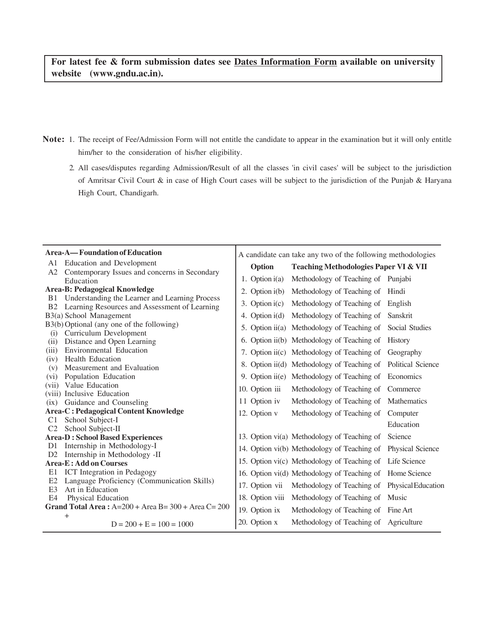**For latest fee & form submission dates see Dates Information Form available on university website (www.gndu.ac.in).**

- **Note:** 1. The receipt of Fee/Admission Form will not entitle the candidate to appear in the examination but it will only entitle him/her to the consideration of his/her eligibility.
	- 2. All cases/disputes regarding Admission/Result of all the classes 'in civil cases' will be subject to the jurisdiction of Amritsar Civil Court & in case of High Court cases will be subject to the jurisdiction of the Punjab & Haryana High Court, Chandigarh.

|                | Area-A—Foundation of Education                                              | A candidate can take any two of the following methodologies |                                                              |           |  |  |  |  |
|----------------|-----------------------------------------------------------------------------|-------------------------------------------------------------|--------------------------------------------------------------|-----------|--|--|--|--|
| A1             | <b>Education and Development</b>                                            |                                                             |                                                              |           |  |  |  |  |
| A2             | Contemporary Issues and concerns in Secondary                               | Option                                                      | <b>Teaching Methodologies Paper VI &amp; VII</b>             |           |  |  |  |  |
|                | Education                                                                   | 1. Option $i(a)$                                            | Methodology of Teaching of Punjabi                           |           |  |  |  |  |
|                | <b>Area-B: Pedagogical Knowledge</b>                                        | 2. Option $i(b)$                                            | Methodology of Teaching of Hindi                             |           |  |  |  |  |
| <b>B</b> 1     | Understanding the Learner and Learning Process                              | 3. Option $i(c)$                                            | Methodology of Teaching of English                           |           |  |  |  |  |
|                | B2 Learning Resources and Assessment of Learning<br>B3(a) School Management |                                                             | 4. Option i(d) Methodology of Teaching of Sanskrit           |           |  |  |  |  |
|                | B3(b) Optional (any one of the following)                                   |                                                             |                                                              |           |  |  |  |  |
| (i)            | Curriculum Development                                                      |                                                             | 5. Option ii(a) Methodology of Teaching of Social Studies    |           |  |  |  |  |
| (ii)           | Distance and Open Learning                                                  |                                                             | 6. Option ii(b) Methodology of Teaching of History           |           |  |  |  |  |
| (iii)          | Environmental Education                                                     |                                                             | 7. Option ii(c) Methodology of Teaching of Geography         |           |  |  |  |  |
| (iv)<br>(v)    | <b>Health Education</b><br>Measurement and Evaluation                       |                                                             | 8. Option ii(d) Methodology of Teaching of Political Science |           |  |  |  |  |
| (vi)           | Population Education                                                        |                                                             | 9. Option ii(e) Methodology of Teaching of Economics         |           |  |  |  |  |
| (vii)          | Value Education                                                             | 10. Option iii                                              | Methodology of Teaching of Commerce                          |           |  |  |  |  |
|                | (viii) Inclusive Education                                                  |                                                             |                                                              |           |  |  |  |  |
| (ix)           | Guidance and Counseling                                                     | 11 Option iv                                                | Methodology of Teaching of Mathematics                       |           |  |  |  |  |
|                | <b>Area-C: Pedagogical Content Knowledge</b>                                | 12. Option v                                                | Methodology of Teaching of Computer                          |           |  |  |  |  |
| C <sub>1</sub> | School Subject-I                                                            |                                                             |                                                              | Education |  |  |  |  |
| C <sub>2</sub> | School Subject-II                                                           |                                                             |                                                              |           |  |  |  |  |
|                | <b>Area-D: School Based Experiences</b>                                     |                                                             | 13. Option vi(a) Methodology of Teaching of Science          |           |  |  |  |  |
|                | D1 Internship in Methodology-I                                              |                                                             | 14. Option vi(b) Methodology of Teaching of Physical Science |           |  |  |  |  |
|                | D2 Internship in Methodology -II<br><b>Area-E: Add on Courses</b>           |                                                             | 15. Option vi(c) Methodology of Teaching of Life Science     |           |  |  |  |  |
| E1             | <b>ICT</b> Integration in Pedagogy                                          |                                                             | 16. Option vi(d) Methodology of Teaching of Home Science     |           |  |  |  |  |
| E2             | Language Proficiency (Communication Skills)                                 | 17. Option vii                                              | Methodology of Teaching of Physical Education                |           |  |  |  |  |
| E <sub>3</sub> | Art in Education                                                            |                                                             |                                                              |           |  |  |  |  |
| E4             | Physical Education                                                          |                                                             | 18. Option viii Methodology of Teaching of Music             |           |  |  |  |  |
|                | Grand Total Area: A=200 + Area B= 300 + Area C= 200                         | 19. Option ix                                               | Methodology of Teaching of Fine Art                          |           |  |  |  |  |
|                | $^{+}$                                                                      | 20. Option x                                                | Methodology of Teaching of Agriculture                       |           |  |  |  |  |
|                | $D = 200 + E = 100 = 1000$                                                  |                                                             |                                                              |           |  |  |  |  |